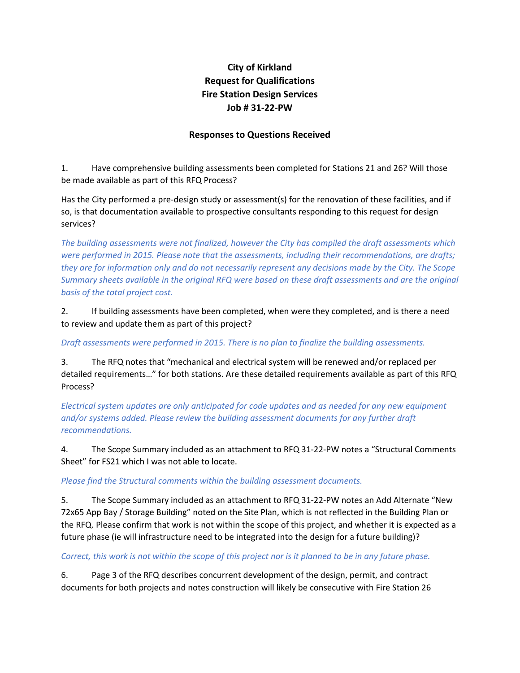## **City of Kirkland Request for Qualifications Fire Station Design Services Job # 31‐22‐PW**

## **Responses to Questions Received**

1. Have comprehensive building assessments been completed for Stations 21 and 26? Will those be made available as part of this RFQ Process?

Has the City performed a pre‐design study or assessment(s) for the renovation of these facilities, and if so, is that documentation available to prospective consultants responding to this request for design services?

*The building assessments were not finalized, however the City has compiled the draft assessments which were performed in 2015. Please note that the assessments, including their recommendations, are drafts;* they are for information only and do not necessarily represent any decisions made by the City. The Scope *Summary sheets available in the original RFQ were based on these draft assessments and are the original basis of the total project cost.*

2. If building assessments have been completed, when were they completed, and is there a need to review and update them as part of this project?

*Draft assessments were performed in 2015. There is no plan to finalize the building assessments.*

3. The RFQ notes that "mechanical and electrical system will be renewed and/or replaced per detailed requirements…" for both stations. Are these detailed requirements available as part of this RFQ Process?

*Electrical system updates are only anticipated for code updates and as needed for any new equipment and/or systems added. Please review the building assessment documents for any further draft recommendations.*

4. The Scope Summary included as an attachment to RFQ 31‐22‐PW notes a "Structural Comments Sheet" for FS21 which I was not able to locate.

*Please find the Structural comments within the building assessment documents.*

5. The Scope Summary included as an attachment to RFQ 31-22-PW notes an Add Alternate "New 72x65 App Bay / Storage Building" noted on the Site Plan, which is not reflected in the Building Plan or the RFQ. Please confirm that work is not within the scope of this project, and whether it is expected as a future phase (ie will infrastructure need to be integrated into the design for a future building)?

Correct, this work is not within the scope of this project nor is it planned to be in any future phase.

6. Page 3 of the RFQ describes concurrent development of the design, permit, and contract documents for both projects and notes construction will likely be consecutive with Fire Station 26